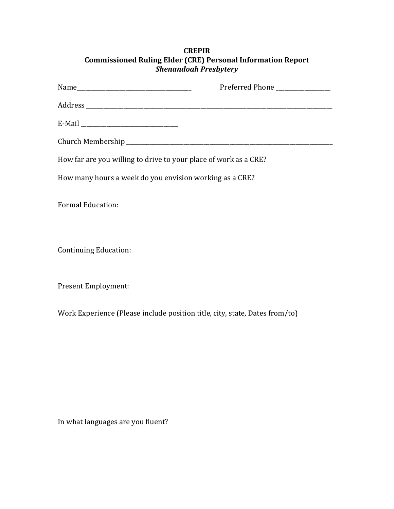| <b>CREPIR</b>                                                      |  |  |
|--------------------------------------------------------------------|--|--|
| <b>Commissioned Ruling Elder (CRE) Personal Information Report</b> |  |  |
| <b>Shenandoah Presbytery</b>                                       |  |  |

|                                                                  | Preferred Phone _______________ |
|------------------------------------------------------------------|---------------------------------|
|                                                                  |                                 |
|                                                                  |                                 |
|                                                                  |                                 |
| How far are you willing to drive to your place of work as a CRE? |                                 |
| How many hours a week do you envision working as a CRE?          |                                 |
| <b>Formal Education:</b>                                         |                                 |
| Continuing Education:                                            |                                 |

Present Employment:

Work Experience (Please include position title, city, state, Dates from/to)

In what languages are you fluent?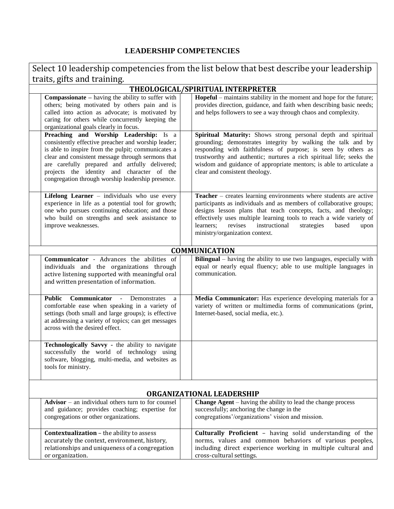## **LEADERSHIP COMPETENCIES**

| Select 10 leadership competencies from the list below that best describe your leadership                                                                                                                                                                                                                                                                      |                                                                                                                                                                                                                                                                                                                                                                                                    |  |  |
|---------------------------------------------------------------------------------------------------------------------------------------------------------------------------------------------------------------------------------------------------------------------------------------------------------------------------------------------------------------|----------------------------------------------------------------------------------------------------------------------------------------------------------------------------------------------------------------------------------------------------------------------------------------------------------------------------------------------------------------------------------------------------|--|--|
| traits, gifts and training.                                                                                                                                                                                                                                                                                                                                   |                                                                                                                                                                                                                                                                                                                                                                                                    |  |  |
|                                                                                                                                                                                                                                                                                                                                                               | THEOLOGICAL/SPIRITUAL INTERPRETER                                                                                                                                                                                                                                                                                                                                                                  |  |  |
| <b>Compassionate</b> – having the ability to suffer with<br>others; being motivated by others pain and is<br>called into action as advocate; is motivated by<br>caring for others while concurrently keeping the<br>organizational goals clearly in focus.                                                                                                    | Hopeful – maintains stability in the moment and hope for the future;<br>provides direction, guidance, and faith when describing basic needs;<br>and helps followers to see a way through chaos and complexity.                                                                                                                                                                                     |  |  |
| Preaching and Worship Leadership: Is a<br>consistently effective preacher and worship leader;<br>is able to inspire from the pulpit; communicates a<br>clear and consistent message through sermons that<br>are carefully prepared and artfully delivered;<br>projects the identity and character of the<br>congregation through worship leadership presence. | Spiritual Maturity: Shows strong personal depth and spiritual<br>grounding; demonstrates integrity by walking the talk and by<br>responding with faithfulness of purpose; is seen by others as<br>trustworthy and authentic; nurtures a rich spiritual life; seeks the<br>wisdom and guidance of appropriate mentors; is able to articulate a<br>clear and consistent theology.                    |  |  |
| Lifelong Learner - individuals who use every<br>experience in life as a potential tool for growth;<br>one who pursues continuing education; and those<br>who build on strengths and seek assistance to<br>improve weaknesses.                                                                                                                                 | <b>Teacher</b> – creates learning environments where students are active<br>participants as individuals and as members of collaborative groups;<br>designs lesson plans that teach concepts, facts, and theology;<br>effectively uses multiple learning tools to reach a wide variety of<br>instructional<br>learners;<br>revises<br>strategies<br>based<br>upon<br>ministry/organization context. |  |  |
|                                                                                                                                                                                                                                                                                                                                                               | <b>COMMUNICATION</b>                                                                                                                                                                                                                                                                                                                                                                               |  |  |
| <b>Communicator</b> - Advances the abilities of<br>individuals and the organizations through<br>active listening supported with meaningful oral<br>and written presentation of information.                                                                                                                                                                   | Bilingual – having the ability to use two languages, especially with<br>equal or nearly equal fluency; able to use multiple languages in<br>communication.                                                                                                                                                                                                                                         |  |  |
| <b>Public</b><br><b>Communicator - Demonstrates</b><br>a<br>comfortable ease when speaking in a variety of<br>settings (both small and large groups); is effective<br>at addressing a variety of topics; can get messages<br>across with the desired effect.                                                                                                  | Media Communicator: Has experience developing materials for a<br>variety of written or multimedia forms of communications (print,<br>Internet-based, social media, etc.).                                                                                                                                                                                                                          |  |  |
| Technologically Savvy - the ability to navigate<br>successfully the world of technology using<br>software, blogging, multi-media, and websites as<br>tools for ministry.                                                                                                                                                                                      |                                                                                                                                                                                                                                                                                                                                                                                                    |  |  |
| ORGANIZATIONAL LEADERSHIP                                                                                                                                                                                                                                                                                                                                     |                                                                                                                                                                                                                                                                                                                                                                                                    |  |  |
| $\bf{Advisor}$ – an individual others turn to for counsel<br>and guidance; provides coaching; expertise for<br>congregations or other organizations.                                                                                                                                                                                                          | <b>Change Agent</b> – having the ability to lead the change process<br>successfully; anchoring the change in the<br>congregations'/organizations' vision and mission.                                                                                                                                                                                                                              |  |  |
| <b>Contextualization - the ability to assess</b><br>accurately the context, environment, history,<br>relationships and uniqueness of a congregation                                                                                                                                                                                                           | Culturally Proficient - having solid understanding of the<br>norms, values and common behaviors of various peoples,<br>including direct experience working in multiple cultural and                                                                                                                                                                                                                |  |  |

cross-cultural settings.

or organization.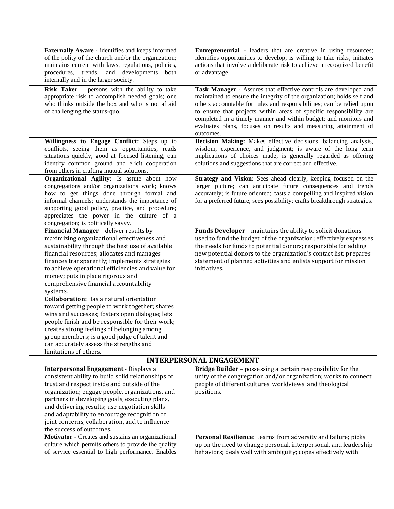| Externally Aware - identifies and keeps informed<br>of the polity of the church and/or the organization;<br>maintains current with laws, regulations, policies,<br>procedures, trends, and developments<br>both<br>internally and in the larger society.                                                                                                                                                                         | <b>Entrepreneurial</b> - leaders that are creative in using resources;<br>identifies opportunities to develop; is willing to take risks, initiates<br>actions that involve a deliberate risk to achieve a recognized benefit<br>or advantage.                                                                                                                                                                                                  |
|----------------------------------------------------------------------------------------------------------------------------------------------------------------------------------------------------------------------------------------------------------------------------------------------------------------------------------------------------------------------------------------------------------------------------------|------------------------------------------------------------------------------------------------------------------------------------------------------------------------------------------------------------------------------------------------------------------------------------------------------------------------------------------------------------------------------------------------------------------------------------------------|
| <b>Risk Taker</b> $-$ persons with the ability to take<br>appropriate risk to accomplish needed goals; one<br>who thinks outside the box and who is not afraid<br>of challenging the status-quo.                                                                                                                                                                                                                                 | Task Manager - Assures that effective controls are developed and<br>maintained to ensure the integrity of the organization; holds self and<br>others accountable for rules and responsibilities; can be relied upon<br>to ensure that projects within areas of specific responsibility are<br>completed in a timely manner and within budget; and monitors and<br>evaluates plans, focuses on results and measuring attainment of<br>outcomes. |
| Willingness to Engage Conflict: Steps up to<br>conflicts, seeing them as opportunities; reads<br>situations quickly; good at focused listening; can<br>identify common ground and elicit cooperation<br>from others in crafting mutual solutions.                                                                                                                                                                                | Decision Making: Makes effective decisions, balancing analysis,<br>wisdom, experience, and judgment; is aware of the long term<br>implications of choices made; is generally regarded as offering<br>solutions and suggestions that are correct and effective.                                                                                                                                                                                 |
| Organizational Agility: Is astute about how<br>congregations and/or organizations work; knows<br>how to get things done through formal and<br>informal channels; understands the importance of<br>supporting good policy, practice, and procedure;<br>appreciates the power in the culture of a<br>congregation; is politically savvy.                                                                                           | Strategy and Vision: Sees ahead clearly, keeping focused on the<br>larger picture; can anticipate future consequences and trends<br>accurately; is future oriented; casts a compelling and inspired vision<br>for a preferred future; sees possibility; crafts breakthrough strategies.                                                                                                                                                        |
| Financial Manager - deliver results by<br>maximizing organizational effectiveness and<br>sustainability through the best use of available<br>financial resources; allocates and manages<br>finances transparently; implements strategies<br>to achieve operational efficiencies and value for<br>money; puts in place rigorous and<br>comprehensive financial accountability<br>systems.                                         | Funds Developer - maintains the ability to solicit donations<br>used to fund the budget of the organization; effectively expresses<br>the needs for funds to potential donors; responsible for adding<br>new potential donors to the organization's contact list; prepares<br>statement of planned activities and enlists support for mission<br>initiatives.                                                                                  |
| <b>Collaboration:</b> Has a natural orientation<br>toward getting people to work together; shares<br>wins and successes; fosters open dialogue; lets<br>people finish and be responsible for their work;<br>creates strong feelings of belonging among<br>group members; is a good judge of talent and<br>can accurately assess the strengths and<br>limitations of others.                                                      |                                                                                                                                                                                                                                                                                                                                                                                                                                                |
|                                                                                                                                                                                                                                                                                                                                                                                                                                  | <b>INTERPERSONAL ENGAGEMENT</b>                                                                                                                                                                                                                                                                                                                                                                                                                |
| Interpersonal Engagement - Displays a<br>consistent ability to build solid relationships of<br>trust and respect inside and outside of the<br>organization; engage people, organizations, and<br>partners in developing goals, executing plans,<br>and delivering results; use negotiation skills<br>and adaptability to encourage recognition of<br>joint concerns, collaboration, and to influence<br>the success of outcomes. | Bridge Builder - possessing a certain responsibility for the<br>unity of the congregation and/or organization; works to connect<br>people of different cultures, worldviews, and theological<br>positions.                                                                                                                                                                                                                                     |
| Motivator - Creates and sustains an organizational<br>culture which permits others to provide the quality<br>of service essential to high performance. Enables                                                                                                                                                                                                                                                                   | Personal Resilience: Learns from adversity and failure; picks<br>up on the need to change personal, interpersonal, and leadership<br>behaviors; deals well with ambiguity; copes effectively with                                                                                                                                                                                                                                              |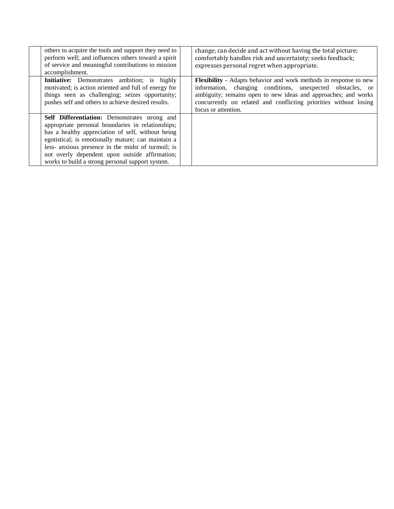| others to acquire the tools and support they need to<br>perform well; and influences others toward a spirit<br>of service and meaningful contributions to mission<br>accomplishment.                                                                                                                                                                                             | change; can decide and act without having the total picture;<br>comfortably handles risk and uncertainty; seeks feedback;<br>expresses personal regret when appropriate.                                                                                                                             |
|----------------------------------------------------------------------------------------------------------------------------------------------------------------------------------------------------------------------------------------------------------------------------------------------------------------------------------------------------------------------------------|------------------------------------------------------------------------------------------------------------------------------------------------------------------------------------------------------------------------------------------------------------------------------------------------------|
| <b>Initiative:</b> Demonstrates ambition; is highly<br>motivated; is action oriented and full of energy for<br>things seen as challenging; seizes opportunity;<br>pushes self and others to achieve desired results.                                                                                                                                                             | <b>Flexibility</b> - Adapts behavior and work methods in response to new<br>information, changing conditions, unexpected obstacles, or<br>ambiguity; remains open to new ideas and approaches; and works<br>concurrently on related and conflicting priorities without losing<br>focus or attention. |
| <b>Self Differentiation:</b> Demonstrates strong and<br>appropriate personal boundaries in relationships;<br>has a healthy appreciation of self, without being<br>egotistical; is emotionally mature; can maintain a<br>less- anxious presence in the midst of turmoil; is<br>not overly dependent upon outside affirmation;<br>works to build a strong personal support system. |                                                                                                                                                                                                                                                                                                      |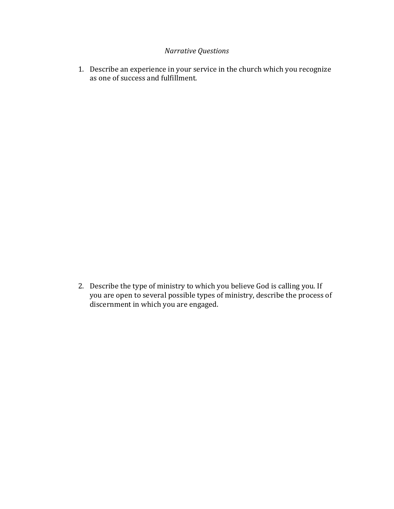### *Narrative Questions*

1. Describe an experience in your service in the church which you recognize as one of success and fulfillment.

2. Describe the type of ministry to which you believe God is calling you. If you are open to several possible types of ministry, describe the process of discernment in which you are engaged.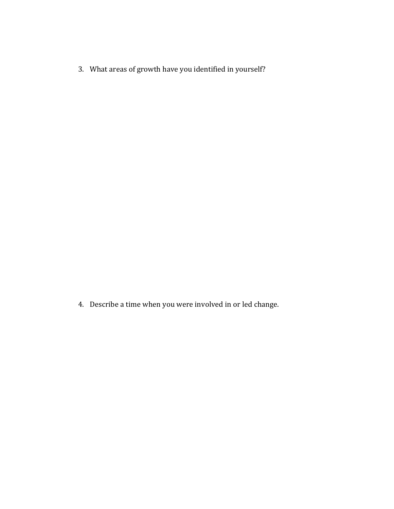3. What areas of growth have you identified in yourself?

4. Describe a time when you were involved in or led change.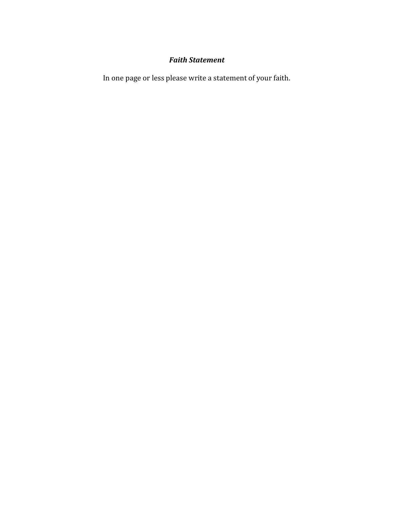## *Faith Statement*

In one page or less please write a statement of your faith.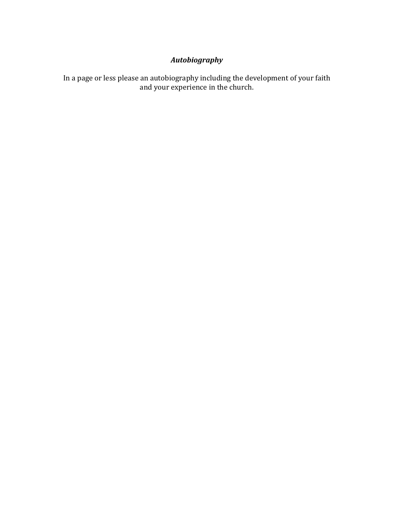# *Autobiography*

In a page or less please an autobiography including the development of your faith and your experience in the church.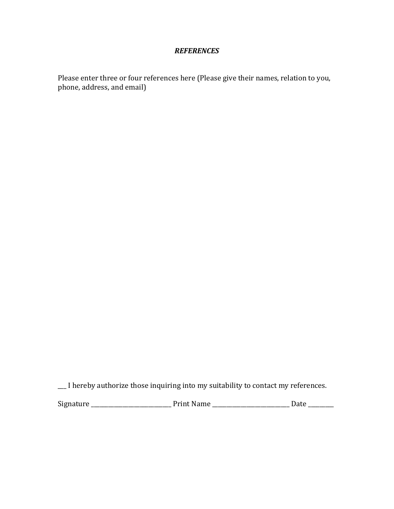### *REFERENCES*

Please enter three or four references here (Please give their names, relation to you, phone, address, and email)

\_\_\_ I hereby authorize those inquiring into my suitability to contact my references.

Signature \_\_\_\_\_\_\_\_\_\_\_\_\_\_\_\_\_\_\_\_\_\_\_\_\_\_\_\_ Print Name \_\_\_\_\_\_\_\_\_\_\_\_\_\_\_\_\_\_\_\_\_\_\_\_\_\_\_ Date \_\_\_\_\_\_\_\_\_